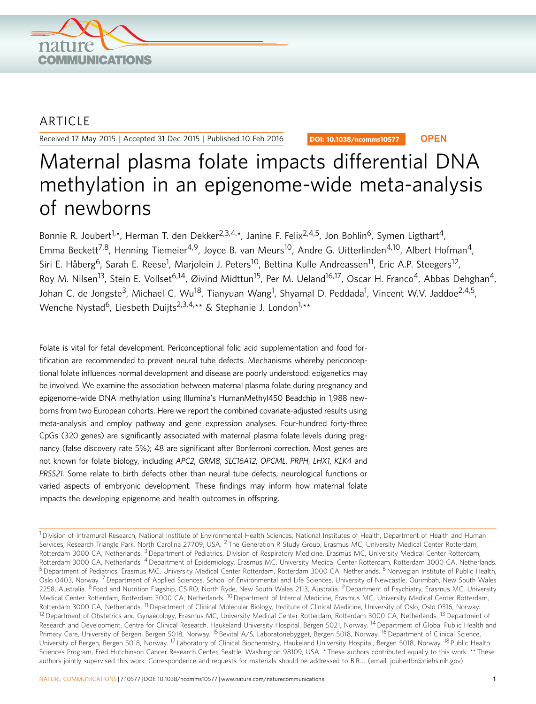

## ARTICLE

Received 17 May 2015 | Accepted 31 Dec 2015 | Published 10 Feb 2016

DOI: 10.1038/ncomms10577 **OPEN**

# Maternal plasma folate impacts differential DNA methylation in an epigenome-wide meta-analysis of newborns

Bonnie R. Joubert<sup>1,\*</sup>, Herman T. den Dekker<sup>2,3,4,\*</sup>, Janine F. Felix<sup>2,4,5</sup>, Jon Bohlin<sup>6</sup>, Symen Ligthart<sup>4</sup>, Emma Beckett<sup>7,8</sup>, Henning Tiemeier<sup>4,9</sup>, Joyce B. van Meurs<sup>10</sup>, Andre G. Uitterlinden<sup>4,10</sup>, Albert Hofman<sup>4</sup>, Siri E. Håberg<sup>6</sup>, Sarah E. Reese<sup>1</sup>, Marjolein J. Peters<sup>10</sup>, Bettina Kulle Andreassen<sup>11</sup>, Eric A.P. Steegers<sup>12</sup>, Roy M. Nilsen<sup>13</sup>, Stein E. Vollset<sup>6,14</sup>, Øivind Midttun<sup>15</sup>, Per M. Ueland<sup>16,17</sup>, Oscar H. Franco<sup>4</sup>, Abbas Dehghan<sup>4</sup>, Johan C. de Jongste<sup>3</sup>, Michael C. Wu<sup>18</sup>, Tianyuan Wang<sup>1</sup>, Shyamal D. Peddada<sup>1</sup>, Vincent W.V. Jaddoe<sup>2,4,5</sup>, Wenche Nystad<sup>6</sup>, Liesbeth Duijts<sup>2,3,4,\*\*</sup> & Stephanie J. London<sup>1,\*\*</sup>

Folate is vital for fetal development. Periconceptional folic acid supplementation and food fortification are recommended to prevent neural tube defects. Mechanisms whereby periconceptional folate influences normal development and disease are poorly understood: epigenetics may be involved. We examine the association between maternal plasma folate during pregnancy and epigenome-wide DNA methylation using Illumina's HumanMethyl450 Beadchip in 1,988 newborns from two European cohorts. Here we report the combined covariate-adjusted results using meta-analysis and employ pathway and gene expression analyses. Four-hundred forty-three CpGs (320 genes) are significantly associated with maternal plasma folate levels during pregnancy (false discovery rate 5%); 48 are significant after Bonferroni correction. Most genes are not known for folate biology, including APC2, GRM8, SLC16A12, OPCML, PRPH, LHX1, KLK4 and PRSS21. Some relate to birth defects other than neural tube defects, neurological functions or varied aspects of embryonic development. These findings may inform how maternal folate impacts the developing epigenome and health outcomes in offspring.

 $1$ Division of Intramural Research, National Institute of Environmental Health Sciences, National Institutes of Health, Department of Health and Human Services, Research Triangle Park, North Carolina 27709, USA. <sup>2</sup> The Generation R Study Group, Erasmus MC, University Medical Center Rotterdam, Rotterdam 3000 CA, Netherlands. <sup>3</sup> Department of Pediatrics, Division of Respiratory Medicine, Erasmus MC, University Medical Center Rotterdam, Rotterdam 3000 CA, Netherlands. <sup>4</sup> Department of Epidemiology, Erasmus MC, University Medical Center Rotterdam, Rotterdam 3000 CA, Netherlands. <sup>5</sup> Department of Pediatrics, Erasmus MC, University Medical Center Rotterdam, Rotterdam 3000 CA, Netherlands. <sup>6</sup> Norwegian Institute of Public Health, Oslo 0403, Norway.<sup>7</sup> Department of Applied Sciences, School of Environmental and Life Sciences, University of Newcastle, Ourimbah, New South Wales 2258, Australia. <sup>8</sup> Food and Nutrition Flagship, CSIRO, North Ryde, New South Wales 2113, Australia. <sup>9</sup> Department of Psychiatry, Erasmus MC, University Medical Center Rotterdam, Rotterdam 3000 CA, Netherlands. <sup>10</sup> Department of Internal Medicine, Erasmus MC, University Medical Center Rotterdam, Rotterdam 3000 CA, Netherlands. <sup>11</sup> Department of Clinical Molecular Biology, Institute of Clinical Medicine, University of Oslo, Oslo 0316, Norway. <sup>12</sup> Department of Obstetrics and Gynaecology, Erasmus MC, University Medical Center Rotterdam, Rotterdam 3000 CA, Netherlands. <sup>13</sup> Department of Research and Development, Centre for Clinical Research, Haukeland University Hospital, Bergen 5021, Norway. <sup>14</sup> Department of Global Public Health and Primary Care, University of Bergen, Bergen 5018, Norway. <sup>15</sup> Bevital A/S, Laboratoriebygget, Bergen 5018, Norway. <sup>16</sup> Department of Clinical Science, University of Bergen, Bergen 5018, Norway. <sup>17</sup> Laboratory of Clinical Biochemistry, Haukeland University Hospital, Bergen 5018, Norway. <sup>18</sup> Public Health Sciences Program, Fred Hutchinson Cancer Research Center, Seattle, Washington 98109, USA. \* These authors contributed equally to this work. \*\* These authors jointly supervised this work. Correspondence and requests for materials should be addressed to B.R.J. (email: [joubertbr@niehs.nih.gov\)](mailto:joubertbr@niehs.nih.gov).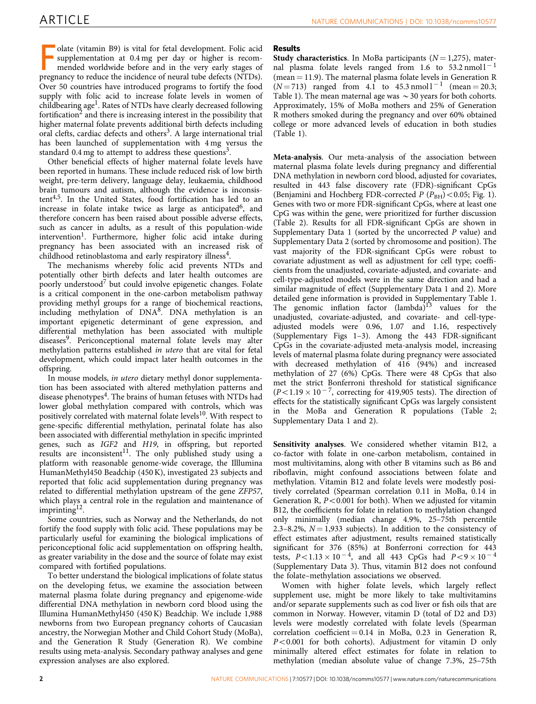olate (vitamin B9) is vital for fetal development. Folic acid supplementation at 0.4 mg per day or higher is recommended worldwide before and in the very early stages of pregnancy to reduce the incidence of neural tube def olate (vitamin B9) is vital for fetal development. Folic acid supplementation at 0.4 mg per day or higher is recommended worldwide before and in the very early stages of Over 50 countries have introduced programs to fortify the food supply with folic acid to increase folate levels in women of childbearing age<sup>1</sup>. Rates of NTDs have clearly decreased following fortification<sup>2</sup> and there is increasing interest in the possibility that higher maternal folate prevents additional birth defects including oral clefts, cardiac defects and others<sup>3</sup>. A large international trial has been launched of supplementation with 4 mg versus the standard 0.4 mg to attempt to address these questions<sup>3</sup>.

Other beneficial effects of higher maternal folate levels have been reported in humans. These include reduced risk of low birth weight, pre-term delivery, language delay, leukaemia, childhood brain tumours and autism, although the evidence is inconsis-tent<sup>[4,5](#page-6-0)</sup>. In the United States, food fortification has led to an increase in folate intake twice as large as anticipated<sup>6</sup>, and therefore concern has been raised about possible adverse effects, such as cancer in adults, as a result of this population-wide  $intervention<sup>1</sup>$ . Furthermore, higher folic acid intake during pregnancy has been associated with an increased risk of childhood retinoblastoma and early respiratory illness<sup>4</sup>

The mechanisms whereby folic acid prevents NTDs and potentially other birth defects and later health outcomes are poorly understood<sup>[7](#page-6-0)</sup> but could involve epigenetic changes. Folate is a critical component in the one-carbon metabolism pathway providing methyl groups for a range of biochemical reactions, including methylation of DN[A8.](#page-6-0) DNA methylation is an important epigenetic determinant of gene expression, and differential methylation has been associated with multiple diseases<sup>9</sup>. Periconceptional maternal folate levels may alter methylation patterns established in utero that are vital for fetal development, which could impact later health outcomes in the offspring.

In mouse models, in utero dietary methyl donor supplementation has been associated with altered methylation patterns and disease phenotypes<sup>[4](#page-6-0)</sup>. The brains of human fetuses with NTDs had lower global methylation compared with controls, which was positively correlated with maternal folate levels<sup>10</sup>. With respect to gene-specific differential methylation, perinatal folate has also been associated with differential methylation in specific imprinted genes, such as IGF2 and H19, in offspring, but reported results are inconsistent<sup>[11](#page-6-0)</sup>. The only published study using a platform with reasonable genome-wide coverage, the Illlumina HumanMethyl450 Beadchip (450 K), investigated 23 subjects and reported that folic acid supplementation during pregnancy was related to differential methylation upstream of the gene ZFP57, which plays a central role in the regulation and maintenance of imprinting<sup>12</sup>.

Some countries, such as Norway and the Netherlands, do not fortify the food supply with folic acid. These populations may be particularly useful for examining the biological implications of periconceptional folic acid supplementation on offspring health, as greater variability in the dose and the source of folate may exist compared with fortified populations.

To better understand the biological implications of folate status on the developing fetus, we examine the association between maternal plasma folate during pregnancy and epigenome-wide differential DNA methylation in newborn cord blood using the Illumina HumanMethyl450 (450 K) Beadchip. We include 1,988 newborns from two European pregnancy cohorts of Caucasian ancestry, the Norwegian Mother and Child Cohort Study (MoBa), and the Generation R Study (Generation R). We combine results using meta-analysis. Secondary pathway analyses and gene expression analyses are also explored.

#### Results

Study characteristics. In MoBa participants  $(N = 1,275)$ , maternal plasma folate levels ranged from 1.6 to  $53.2 \text{ nmol}1^{-1}$ (mean  $=$  11.9). The maternal plasma folate levels in Generation R  $(N = 713)$  ranged from 4.1 to 45.3 nmol <sup>-1</sup> (mean = 20.3; [Table 1](#page-2-0)). The mean maternal age was  $\sim$  30 years for both cohorts. Approximately, 15% of MoBa mothers and 25% of Generation R mothers smoked during the pregnancy and over 60% obtained college or more advanced levels of education in both studies ([Table 1\)](#page-2-0).

Meta-analysis. Our meta-analysis of the association between maternal plasma folate levels during pregnancy and differential DNA methylation in newborn cord blood, adjusted for covariates, resulted in 443 false discovery rate (FDR)-significant CpGs (Benjamini and Hochberg FDR-corrected  $P (P_{BH})$  < 0.05; [Fig. 1](#page-2-0)). Genes with two or more FDR-significant CpGs, where at least one CpG was within the gene, were prioritized for further discussion ([Table 2](#page-3-0)). Results for all FDR-significant CpGs are shown in Supplementary Data 1 (sorted by the uncorrected P value) and Supplementary Data 2 (sorted by chromosome and position). The vast majority of the FDR-significant CpGs were robust to covariate adjustment as well as adjustment for cell type; coefficients from the unadjusted, covariate-adjusted, and covariate- and cell-type-adjusted models were in the same direction and had a similar magnitude of effect (Supplementary Data 1 and 2). More detailed gene information is provided in Supplementary Table 1. The genomic inflation factor  $(lambda)^{13}$  $(lambda)^{13}$  $(lambda)^{13}$  values for the unadjusted, covariate-adjusted, and covariate- and cell-typeadjusted models were 0.96, 1.07 and 1.16, respectively (Supplementary Figs 1–3). Among the 443 FDR-significant CpGs in the covariate-adjusted meta-analysis model, increasing levels of maternal plasma folate during pregnancy were associated with decreased methylation of 416 (94%) and increased methylation of 27 (6%) CpGs. There were 48 CpGs that also met the strict Bonferroni threshold for statistical significance  $(P<1.19 \times 10^{-7}$ , correcting for 419,905 tests). The direction of effects for the statistically significant CpGs was largely consistent in the MoBa and Generation R populations ([Table 2;](#page-3-0) Supplementary Data 1 and 2).

Sensitivity analyses. We considered whether vitamin B12, a co-factor with folate in one-carbon metabolism, contained in most multivitamins, along with other B vitamins such as B6 and riboflavin, might confound associations between folate and methylation. Vitamin B12 and folate levels were modestly positively correlated (Spearman correlation 0.11 in MoBa, 0.14 in Generation R,  $P < 0.001$  for both). When we adjusted for vitamin B12, the coefficients for folate in relation to methylation changed only minimally (median change 4.9%, 25–75th percentile 2.3–8.2%,  $N = 1,933$  subjects). In addition to the consistency of effect estimates after adjustment, results remained statistically significant for 376 (85%) at Bonferroni correction for 443 tests,  $P < 1.13 \times 10^{-4}$ , and all 443 CpGs had  $P < 9 \times 10^{-4}$ (Supplementary Data 3). Thus, vitamin B12 does not confound the folate–methylation associations we observed.

Women with higher folate levels, which largely reflect supplement use, might be more likely to take multivitamins and/or separate supplements such as cod liver or fish oils that are common in Norway. However, vitamin D (total of D2 and D3) levels were modestly correlated with folate levels (Spearman correlation coefficient  $= 0.14$  in MoBa, 0.23 in Generation R,  $P < 0.001$  for both cohorts). Adjustment for vitamin D only minimally altered effect estimates for folate in relation to methylation (median absolute value of change 7.3%, 25–75th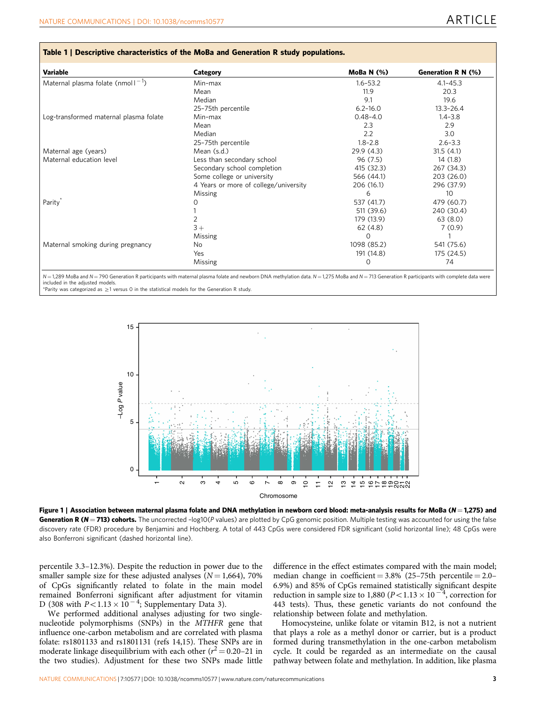<span id="page-2-0"></span>

| Variable                                | Category                              | MoBa N $(%)$ | Generation R N (%) |  |  |
|-----------------------------------------|---------------------------------------|--------------|--------------------|--|--|
| Maternal plasma folate (nmol $1^{-1}$ ) | Min-max                               | $1.6 - 53.2$ | $4.1 - 45.3$       |  |  |
|                                         | Mean                                  | 11.9         | 20.3               |  |  |
|                                         | Median                                | 9.1          | 19.6               |  |  |
|                                         | 25-75th percentile                    | $6.2 - 16.0$ | $13.3 - 26.4$      |  |  |
| Log-transformed maternal plasma folate  | Min-max                               | $0.48 - 4.0$ | $1.4 - 3.8$        |  |  |
|                                         | Mean                                  | 2.3          | 2.9                |  |  |
|                                         | Median                                | 2.2          | 3.0                |  |  |
|                                         | 25-75th percentile                    | $1.8 - 2.8$  | $2.6 - 3.3$        |  |  |
| Maternal age (years)                    | Mean (s.d.)                           | 29.9(4.3)    | 31.5(4.1)          |  |  |
| Maternal education level                | Less than secondary school            | 96 (7.5)     | 14(1.8)            |  |  |
|                                         | Secondary school completion           | 415 (32.3)   | 267 (34.3)         |  |  |
|                                         | Some college or university            | 566 (44.1)   | 203 (26.0)         |  |  |
|                                         | 4 Years or more of college/university | 206 (16.1)   | 296 (37.9)         |  |  |
|                                         | Missing                               | 6            | 10                 |  |  |
| Parity                                  | $\left( \right)$                      | 537 (41.7)   | 479 (60.7)         |  |  |
|                                         |                                       | 511 (39.6)   | 240 (30.4)         |  |  |
|                                         | $\overline{2}$                        | 179 (13.9)   | 63(8.0)            |  |  |
|                                         | $3+$                                  | 62(4.8)      | 7(0.9)             |  |  |
|                                         | Missing                               | $\Omega$     |                    |  |  |
| Maternal smoking during pregnancy       | No.                                   | 1098 (85.2)  | 541 (75.6)         |  |  |
|                                         | Yes                                   | 191 (14.8)   | 175 (24.5)         |  |  |
|                                         | Missing                               | $\Omega$     | 74                 |  |  |

1,289 MoBa and N=790 Generation R participants with maternal plasma folate and newborn DNA methylation data. N=1,275 MoBa and N=713 Generation R participants with complete data were included in the adjusted models.

\*Parity was categorized as  $>1$  versus 0 in the statistical models for the Generation R study.



Figure 1 | Association between maternal plasma folate and DNA methylation in newborn cord blood: meta-analysis results for MoBa (N = 1,275) and Generation R ( $N = 713$ ) cohorts. The uncorrected -log10(P values) are plotted by CpG genomic position. Multiple testing was accounted for using the false discovery rate (FDR) procedure by Benjamini and Hochberg. A total of 443 CpGs were considered FDR significant (solid horizontal line); 48 CpGs were also Bonferroni significant (dashed horizontal line).

percentile 3.3–12.3%). Despite the reduction in power due to the smaller sample size for these adjusted analyses  $(N = 1,664)$ , 70% of CpGs significantly related to folate in the main model remained Bonferroni significant after adjustment for vitamin D (308 with  $P < 1.13 \times 10^{-4}$ ; Supplementary Data 3).

We performed additional analyses adjusting for two singlenucleotide polymorphisms (SNPs) in the MTHFR gene that influence one-carbon metabolism and are correlated with plasma folate: rs1801133 and rs1801131 [\(refs 14,15\)](#page-6-0). These SNPs are in moderate linkage disequilibrium with each other ( $r^2$  = 0.20–21 in the two studies). Adjustment for these two SNPs made little

difference in the effect estimates compared with the main model; median change in coefficient =  $3.8\%$  (25-75th percentile =  $2.0-$ 6.9%) and 85% of CpGs remained statistically significant despite reduction in sample size to 1,880 ( $P < 1.13 \times 10^{-4}$ , correction for 443 tests). Thus, these genetic variants do not confound the relationship between folate and methylation.

Homocysteine, unlike folate or vitamin B12, is not a nutrient that plays a role as a methyl donor or carrier, but is a product formed during transmethylation in the one-carbon metabolism cycle. It could be regarded as an intermediate on the causal pathway between folate and methylation. In addition, like plasma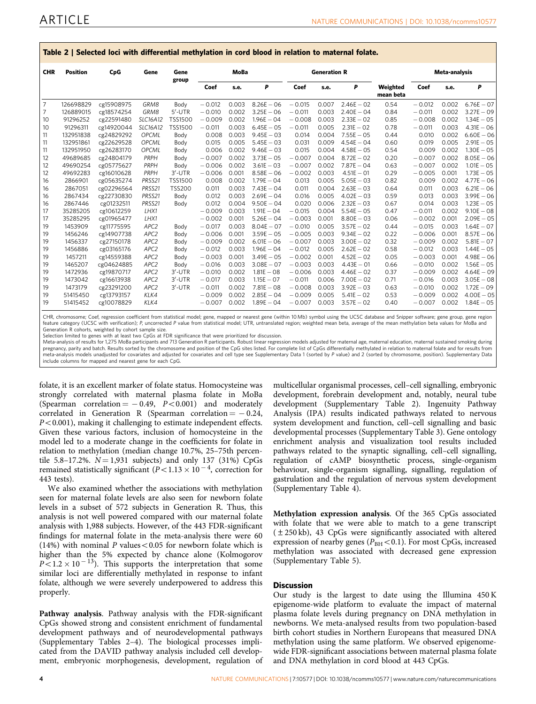| <u>iadic 4   Jelectea Iber Mith anterentiar incluyiation in cora dibba in relation to maternar rolate.</u> |                 |            |                  |                |          |       |                     |          |       |              |                       |          |       |               |
|------------------------------------------------------------------------------------------------------------|-----------------|------------|------------------|----------------|----------|-------|---------------------|----------|-------|--------------|-----------------------|----------|-------|---------------|
| <b>CHR</b>                                                                                                 | <b>Position</b> | CpG        | Gene             | Gene<br>group  | MoBa     |       | <b>Generation R</b> |          |       |              | Meta-analysis         |          |       |               |
|                                                                                                            |                 |            |                  |                | Coef     | s.e.  | P                   | Coef     | s.e.  | P            | Weighted<br>mean beta | Coef     | s.e.  | P             |
| $\overline{7}$                                                                                             | 126698829       | cg15908975 | GRM8             | Body           | $-0.012$ | 0.003 | $8.26E - 06$        | $-0.015$ | 0.007 | $2.46E - 02$ | 0.54                  | $-0.012$ | 0.002 | $6.76E - 07$  |
| 7                                                                                                          | 126889015       | cg18574254 | GRM8             | $5'$ -UTR      | $-0.010$ | 0.002 | $3.25E - 06$        | $-0.011$ | 0.003 | $2.40E - 04$ | 0.84                  | $-0.011$ | 0.002 | $3.27E - 09$  |
| 10                                                                                                         | 91296252        | cg22591480 | SLC16A12         | <b>TSS1500</b> | $-0.009$ | 0.002 | $1.96E - 04$        | $-0.008$ | 0.003 | $2.33E - 02$ | 0.85                  | $-0.008$ | 0.002 | $1.34E - 05$  |
| 10                                                                                                         | 91296311        | cg14920044 | <b>SLC16A12</b>  | <b>TSS1500</b> | $-0.011$ | 0.003 | $6.45E - 05$        | $-0.011$ | 0.005 | $2.31E - 02$ | 0.78                  | $-0.011$ | 0.003 | $4.31E - 06$  |
| 11                                                                                                         | 132951838       | cg24829292 | OPCML            | Body           | 0.008    | 0.003 | $9.45E - 03$        | 0.014    | 0.004 | $7.55E - 05$ | 0.44                  | 0.010    | 0.002 | $6.60E - 06$  |
| 11                                                                                                         | 132951861       | cg22629528 | <b>OPCML</b>     | Body           | 0.015    | 0.005 | $5.45E - 03$        | 0.031    | 0.009 | $4.54E - 04$ | 0.60                  | 0.019    | 0.005 | $2.91E - 05$  |
| 11                                                                                                         | 132951950       | cg26283170 | <b>OPCML</b>     | Body           | 0.006    | 0.002 | $9.46E - 03$        | 0.015    | 0.004 | $4.58E - 05$ | 0.54                  | 0.009    | 0.002 | $1.30E - 05$  |
| 12                                                                                                         | 49689685        | cg24804179 | PRPH             | Body           | $-0.007$ | 0.002 | $3.73E - 05$        | $-0.007$ | 0.004 | $8.72E - 02$ | 0.20                  | $-0.007$ | 0.002 | $8.05E - 06$  |
| 12                                                                                                         | 49690254        | cg05775627 | PRPH             | Body           | $-0.006$ | 0.002 | $3.61E - 03$        | $-0.007$ | 0.002 | $7.87E - 04$ | 0.63                  | $-0.007$ | 0.002 | $1.01E - 05$  |
| 12                                                                                                         | 49692283        | cg16010628 | PRPH             | $3'$ -UTR      | $-0.006$ | 0.001 | $8.58E - 06$        | $-0.002$ | 0.003 | $4.51E - 01$ | 0.29                  | $-0.005$ | 0.001 | $1.73E - 05$  |
| 16                                                                                                         | 2866901         | cg05635274 | PRSS21           | <b>TSS1500</b> | 0.008    | 0.002 | $1.79E - 04$        | 0.013    | 0.005 | $5.05E - 03$ | 0.82                  | 0.009    | 0.002 | $4.77E - 06$  |
| 16                                                                                                         | 2867051         | cg02296564 | PRSS21           | <b>TSS200</b>  | 0.011    | 0.003 | $7.43E - 04$        | 0.011    | 0.004 | $2.63E - 03$ | 0.64                  | 0.011    | 0.003 | $6.21E - 06$  |
| 16                                                                                                         | 2867434         | cg22730830 | PRSS21           | Body           | 0.012    | 0.003 | $2.69E - 04$        | 0.016    | 0.005 | $4.02E - 03$ | 0.59                  | 0.013    | 0.003 | $3.99E - 06$  |
| 16                                                                                                         | 2867446         | cg01232511 | PRSS21           | Body           | 0.012    | 0.004 | $9.50E - 04$        | 0.020    | 0.006 | $2.32E - 03$ | 0.67                  | 0.014    | 0.003 | $1.23E - 05$  |
| 17                                                                                                         | 35285205        | cg10612259 | LHX1             |                | $-0.009$ | 0.003 | $1.91E - 04$        | $-0.015$ | 0.004 | $5.54E - 05$ | 0.47                  | $-0.011$ | 0.002 | $9.10E - 08$  |
| 17                                                                                                         | 35285295        | cg01965477 | LHX1             |                | $-0.002$ | 0.001 | $5.26E - 04$        | $-0.003$ | 0.001 | $8.80E - 03$ | 0.06                  | $-0.002$ | 0.001 | $2.09E - 05$  |
| 19                                                                                                         | 1453909         | cg11775595 | APC <sub>2</sub> | Body           | $-0.017$ | 0.003 | $8.04E - 07$        | $-0.010$ | 0.005 | $3.57E - 02$ | 0.44                  | $-0.015$ | 0.003 | $1.64E - 07$  |
| 19                                                                                                         | 1456246         | cg14907738 | APC2             | Body           | $-0.006$ | 0.001 | $3.59E - 05$        | $-0.005$ | 0.003 | $9.34E - 02$ | 0.22                  | $-0.006$ | 0.001 | $8.57E - 06$  |
| 19                                                                                                         | 1456337         | cg27150178 | APC <sub>2</sub> | Body           | $-0.009$ | 0.002 | $6.01E - 06$        | $-0.007$ | 0.003 | $3.00E - 02$ | 0.32                  | $-0.009$ | 0.002 | $5.81E - 07$  |
| 19                                                                                                         | 1456886         | cg03165176 | APC2             | Body           | $-0.012$ | 0.003 | $1.96E - 04$        | $-0.012$ | 0.005 | $2.62E - 02$ | 0.58                  | $-0.012$ | 0.003 | $1.44E - 05$  |
| 19                                                                                                         | 1457211         | cg14559388 | APC <sub>2</sub> | Body           | $-0.003$ | 0.001 | $3.49E - 05$        | $-0.002$ | 0.001 | $4.52E - 02$ | 0.05                  | $-0.003$ | 0.001 | $4.98E - 06$  |
| 19                                                                                                         | 1465207         | cg04624885 | APC2             | Body           | $-0.016$ | 0.003 | $3.08E - 07$        | $-0.003$ | 0.003 | $4.43E - 01$ | 0.66                  | $-0.010$ | 0.002 | $1.56E - 0.5$ |
| 19                                                                                                         | 1472936         | cg19870717 | APC <sub>2</sub> | 3'-UTR         | $-0.010$ | 0.002 | $1.81E - 08$        | $-0.006$ | 0.003 | $4.46E - 02$ | 0.37                  | $-0.009$ | 0.002 | $4.64E - 09$  |
| 19                                                                                                         | 1473042         | cg16613938 | APC2             | $3'$ -UTR      | $-0.017$ | 0.003 | $1.15E - 07$        | $-0.011$ | 0.006 | $7.00E - 02$ | 0.71                  | $-0.016$ | 0.003 | $3.05E - 08$  |
| 19                                                                                                         | 1473179         | cg23291200 | APC2             | 3'-UTR         | $-0.011$ | 0.002 | $7.81E - 08$        | $-0.008$ | 0.003 | $3.92E - 03$ | 0.63                  | $-0.010$ | 0.002 | $1.72E - 09$  |
| 19                                                                                                         | 51415450        | cg13793157 | KLK4             |                | $-0.009$ | 0.002 | $2.85E - 04$        | $-0.009$ | 0.005 | $5.41E - 02$ | 0.53                  | $-0.009$ | 0.002 | $4.00E - 05$  |
| 19                                                                                                         | 51415452        | cg10078829 | KLK4             |                | $-0.007$ | 0.002 | $1.89E - 04$        | $-0.007$ | 0.003 | $3.57E - 02$ | 0.40                  | $-0.007$ | 0.002 | $1.84E - 05$  |

<span id="page-3-0"></span>Table 2 | Selected loci with differential methylation in cord blood in relation to maternal folate.

CHR, chromosome; Coef, regression coefficient from statistical model; gene, mapped or nearest gene (within 10 Mb) symbol using the UCSC database and Snipper software; gene group, gene region feature category (UCSC with verification); P, uncorrected P value from statistical model; UTR, untranslated region; weighted mean beta, average of the mean methylation beta values for MoBa and Generation R cohorts, weighted by cohort sample size.

Selection limited to genes with at least two CpGs at FDR significance that were prioritized for discussion.

Meta-analysis of results for 1,275 MoBa participants and 713 Generation R participants. Robust linear regression models adjusted for maternal age, maternal education, maternal sustained smoking during pregnancy, parity and batch. Results sorted by the chromosome and position of the CpG sites listed. For complete list of CpGs differentially methylated in relation to maternal folate and for results from meta-analysis models unadjusted for covariates and adjusted for covariates and cell type see Supplementary Data 1 (sorted by P value) and 2 (sorted by chromosome, position). Supplementary Data include columns for mapped and nearest gene for each CpG.

folate, it is an excellent marker of folate status. Homocysteine was strongly correlated with maternal plasma folate in MoBa (Spearman correlation  $=$   $-0.49$ ,  $P$   $<$  0.001) and moderately  $\text{correlated} \quad \text{in} \quad \text{Generation} \quad \text{R} \quad \text{(Spearman} \quad \text{correlation} = -0.24,$  $P<0.001$ ), making it challenging to estimate independent effects. Given these various factors, inclusion of homocysteine in the model led to a moderate change in the coefficients for folate in relation to methylation (median change 10.7%, 25–75th percentile 5.8-17.2%.  $N = 1,931$  subjects) and only 137 (31%) CpGs remained statistically significant ( $P$ <1.13  $\times$  10<sup>-4</sup>, correction for 443 tests).

We also examined whether the associations with methylation seen for maternal folate levels are also seen for newborn folate levels in a subset of 572 subjects in Generation R. Thus, this analysis is not well powered compared with our maternal folate analysis with 1,988 subjects. However, of the 443 FDR-significant findings for maternal folate in the meta-analysis there were 60 (14%) with nominal P values < 0.05 for newborn folate which is higher than the 5% expected by chance alone (Kolmogorov  $P \le 1.2 \times 10^{-13}$ ). This supports the interpretation that some similar loci are differentially methylated in response to infant folate, although we were severely underpowered to address this properly.

Pathway analysis. Pathway analysis with the FDR-significant CpGs showed strong and consistent enrichment of fundamental development pathways and of neurodevelopmental pathways (Supplementary Tables 2–4). The biological processes implicated from the DAVID pathway analysis included cell development, embryonic morphogenesis, development, regulation of multicellular organismal processes, cell–cell signalling, embryonic development, forebrain development and, notably, neural tube development (Supplementary Table 2). Ingenuity Pathway Analysis (IPA) results indicated pathways related to nervous system development and function, cell–cell signalling and basic developmental processes (Supplementary Table 3). Gene ontology enrichment analysis and visualization tool results included pathways related to the synaptic signalling, cell–cell signalling, regulation of cAMP biosynthetic process, single-organism behaviour, single-organism signalling, signalling, regulation of gastrulation and the regulation of nervous system development (Supplementary Table 4).

Methylation expression analysis. Of the 365 CpGs associated with folate that we were able to match to a gene transcript (±250 kb), 43 CpGs were significantly associated with altered expression of nearby genes ( $P_{BH}$ <0.1). For most CpGs, increased methylation was associated with decreased gene expression (Supplementary Table 5).

### **Discussion**

Our study is the largest to date using the Illumina 450 K epigenome-wide platform to evaluate the impact of maternal plasma folate levels during pregnancy on DNA methylation in newborns. We meta-analysed results from two population-based birth cohort studies in Northern Europeans that measured DNA methylation using the same platform. We observed epigenomewide FDR-significant associations between maternal plasma folate and DNA methylation in cord blood at 443 CpGs.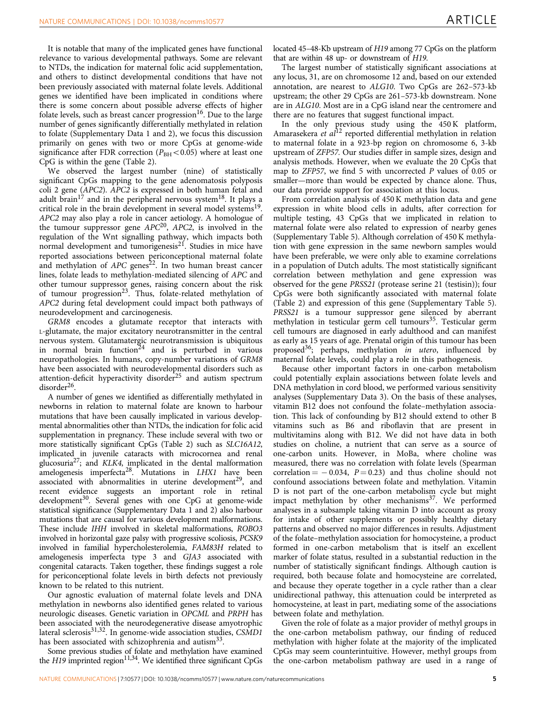It is notable that many of the implicated genes have functional relevance to various developmental pathways. Some are relevant to NTDs, the indication for maternal folic acid supplementation, and others to distinct developmental conditions that have not been previously associated with maternal folate levels. Additional genes we identified have been implicated in conditions where there is some concern about possible adverse effects of higher folate levels, such as breast cancer progression<sup>16</sup>. Due to the large number of genes significantly differentially methylated in relation to folate (Supplementary Data 1 and 2), we focus this discussion primarily on genes with two or more CpGs at genome-wide significance after FDR correction ( $P_{BH} < 0.05$ ) where at least one CpG is within the gene ([Table 2\)](#page-3-0).

We observed the largest number (nine) of statistically significant CpGs mapping to the gene adenomatosis polyposis coli 2 gene (APC2). APC2 is expressed in both human fetal and adult brain<sup>[17](#page-6-0)</sup> and in the peripheral nervous system<sup>18</sup>. It plays a critical role in the brain development in several model systems<sup>19</sup>. APC2 may also play a role in cancer aetiology. A homologue of the tumour suppressor gene  $APC<sup>20</sup>$  $APC<sup>20</sup>$  $APC<sup>20</sup>$ ,  $APC2$ , is involved in the regulation of the Wnt signalling pathway, which impacts both normal development and tumorigenesis $21$ . Studies in mice have reported associations between periconceptional maternal folate and methylation of  $APC$  genes<sup>22</sup>. In two human breast cancer lines, folate leads to methylation-mediated silencing of APC and other tumour suppressor genes, raising concern about the risk of tumour progression<sup>[23](#page-6-0)</sup>. Thus, folate-related methylation of APC2 during fetal development could impact both pathways of neurodevelopment and carcinogenesis.

GRM8 encodes a glutamate receptor that interacts with L-glutamate, the major excitatory neurotransmitter in the central nervous system. Glutamatergic neurotransmission is ubiquitous in normal brain function<sup>[24](#page-6-0)</sup> and is perturbed in various neuropathologies. In humans, copy-number variations of GRM8 have been associated with neurodevelopmental disorders such as attention-deficit hyperactivity disorder<sup>[25](#page-6-0)</sup> and autism spectrum disorder<sup>[26](#page-6-0)</sup>.

A number of genes we identified as differentially methylated in newborns in relation to maternal folate are known to harbour mutations that have been causally implicated in various developmental abnormalities other than NTDs, the indication for folic acid supplementation in pregnancy. These include several with two or more statistically significant CpGs [\(Table 2](#page-3-0)) such as SLC16A12, implicated in juvenile cataracts with microcornea and renal glucosuria<sup>27</sup>; and KLK4, implicated in the dental malformation amelogenesis imperfecta<sup>28</sup>. Mutations in  $LHX1$  have been associated with abnormalities in uterine development<sup>[29](#page-6-0)</sup>, and recent evidence suggests an important role in retinal development<sup>30</sup>. Several genes with one CpG at genome-wide statistical significance (Supplementary Data 1 and 2) also harbour mutations that are causal for various development malformations. These include IHH involved in skeletal malformations, ROBO3 involved in horizontal gaze palsy with progressive scoliosis, PCSK9 involved in familial hypercholesterolemia, FAM83H related to amelogenesis imperfecta type 3 and GJA3 associated with congenital cataracts. Taken together, these findings suggest a role for periconceptional folate levels in birth defects not previously known to be related to this nutrient.

Our agnostic evaluation of maternal folate levels and DNA methylation in newborns also identified genes related to various neurologic diseases. Genetic variation in OPCML and PRPH has been associated with the neurodegenerative disease amyotrophic lateral sclerosis<sup>[31,32](#page-6-0)</sup>. In genome-wide association studies, CSMD1 has been associated with schizophrenia and autism<sup>[33](#page-7-0)</sup>.

Some previous studies of folate and methylation have examined the  $H19$  imprinted region<sup>[11,34](#page-6-0)</sup>. We identified three significant CpGs located 45–48-Kb upstream of H19 among 77 CpGs on the platform that are within 48 up- or downstream of H19.

The largest number of statistically significant associations at any locus, 31, are on chromosome 12 and, based on our extended annotation, are nearest to ALG10. Two CpGs are 262–573-kb upstream; the other 29 CpGs are 261–573-kb downstream. None are in ALG10. Most are in a CpG island near the centromere and there are no features that suggest functional impact.

In the only previous study using the 450 K platform, Amarasekera et  $a l^{12}$  $a l^{12}$  $a l^{12}$  reported differential methylation in relation to maternal folate in a 923-bp region on chromosome 6, 3-kb upstream of ZFP57. Our studies differ in sample sizes, design and analysis methods. However, when we evaluate the 20 CpGs that map to ZFP57, we find 5 with uncorrected P values of 0.05 or smaller—more than would be expected by chance alone. Thus, our data provide support for association at this locus.

From correlation analysis of 450 K methylation data and gene expression in white blood cells in adults, after correction for multiple testing, 43 CpGs that we implicated in relation to maternal folate were also related to expression of nearby genes (Supplementary Table 5). Although correlation of 450 K methylation with gene expression in the same newborn samples would have been preferable, we were only able to examine correlations in a population of Dutch adults. The most statistically significant correlation between methylation and gene expression was observed for the gene PRSS21 (protease serine 21 (testisin)); four CpGs were both significantly associated with maternal folate ([Table 2\)](#page-3-0) and expression of this gene (Supplementary Table 5). PRSS21 is a tumour suppressor gene silenced by aberrant methylation in testicular germ cell tumours<sup>[35](#page-7-0)</sup>. Testicular germ cell tumours are diagnosed in early adulthood and can manifest as early as 15 years of age. Prenatal origin of this tumour has been proposed<sup>36</sup>; perhaps, methylation in utero, influenced by maternal folate levels, could play a role in this pathogenesis.

Because other important factors in one-carbon metabolism could potentially explain associations between folate levels and DNA methylation in cord blood, we performed various sensitivity analyses (Supplementary Data 3). On the basis of these analyses, vitamin B12 does not confound the folate–methylation association. This lack of confounding by B12 should extend to other B vitamins such as B6 and riboflavin that are present in multivitamins along with B12. We did not have data in both studies on choline, a nutrient that can serve as a source of one-carbon units. However, in MoBa, where choline was measured, there was no correlation with folate levels (Spearman correlation  $=$  -0.034,  $P = 0.23$  and thus choline should not confound associations between folate and methylation. Vitamin D is not part of the one-carbon metabolism cycle but might impact methylation by other mechanisms<sup>37</sup>. We performed analyses in a subsample taking vitamin D into account as proxy for intake of other supplements or possibly healthy dietary patterns and observed no major differences in results. Adjustment of the folate–methylation association for homocysteine, a product formed in one-carbon metabolism that is itself an excellent marker of folate status, resulted in a substantial reduction in the number of statistically significant findings. Although caution is required, both because folate and homocysteine are correlated, and because they operate together in a cycle rather than a clear unidirectional pathway, this attenuation could be interpreted as homocysteine, at least in part, mediating some of the associations between folate and methylation.

Given the role of folate as a major provider of methyl groups in the one-carbon metabolism pathway, our finding of reduced methylation with higher folate at the majority of the implicated CpGs may seem counterintuitive. However, methyl groups from the one-carbon metabolism pathway are used in a range of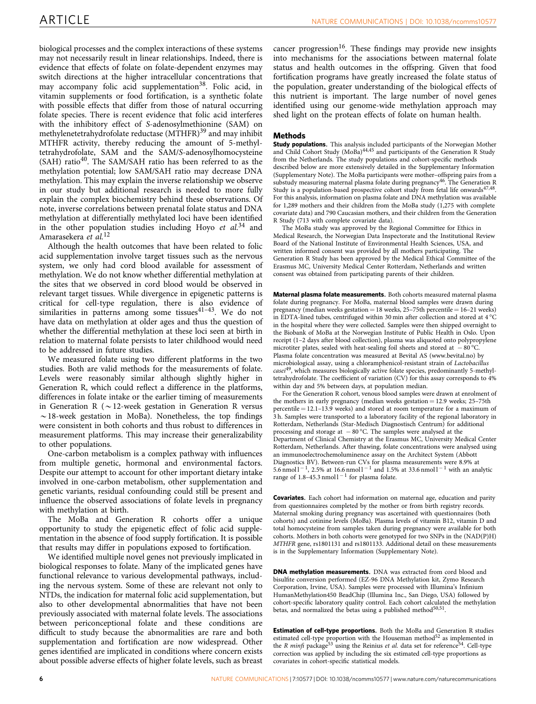biological processes and the complex interactions of these systems may not necessarily result in linear relationships. Indeed, there is evidence that effects of folate on folate-dependent enzymes may switch directions at the higher intracellular concentrations that may accompany folic acid supplementation<sup>38</sup>. Folic acid, in vitamin supplements or food fortification, is a synthetic folate with possible effects that differ from those of natural occurring folate species. There is recent evidence that folic acid interferes with the inhibitory effect of S-adenosylmethionine (SAM) on methylenetetrahydrofolate reductase (MTHFR)<sup>[39](#page-7-0)</sup> and may inhibit MTHFR activity, thereby reducing the amount of 5-methyltetrahydrofolate, SAM and the SAM/S-adenosylhomocysteine  $(SAH)$  ratio<sup>40</sup>. The SAM/SAH ratio has been referred to as the methylation potential; low SAM/SAH ratio may decrease DNA methylation. This may explain the inverse relationship we observe in our study but additional research is needed to more fully explain the complex biochemistry behind these observations. Of note, inverse correlations between prenatal folate status and DNA methylation at differentially methylated loci have been identified in the other population studies including Hoyo et  $al^{34}$  $al^{34}$  $al^{34}$  and Amarasekera et al.<sup>[12](#page-6-0)</sup>

Although the health outcomes that have been related to folic acid supplementation involve target tissues such as the nervous system, we only had cord blood available for assessment of methylation. We do not know whether differential methylation at the sites that we observed in cord blood would be observed in relevant target tissues. While divergence in epigenetic patterns is critical for cell-type regulation, there is also evidence of similarities in patterns among some tissues $41-43$ . We do not have data on methylation at older ages and thus the question of whether the differential methylation at these loci seen at birth in relation to maternal folate persists to later childhood would need to be addressed in future studies.

We measured folate using two different platforms in the two studies. Both are valid methods for the measurements of folate. Levels were reasonably similar although slightly higher in Generation R, which could reflect a difference in the platforms, differences in folate intake or the earlier timing of measurements in Generation R ( $\sim$  12-week gestation in Generation R versus  $\sim$  18-week gestation in MoBa). Nonetheless, the top findings were consistent in both cohorts and thus robust to differences in measurement platforms. This may increase their generalizability to other populations.

One-carbon metabolism is a complex pathway with influences from multiple genetic, hormonal and environmental factors. Despite our attempt to account for other important dietary intake involved in one-carbon metabolism, other supplementation and genetic variants, residual confounding could still be present and influence the observed associations of folate levels in pregnancy with methylation at birth.

The MoBa and Generation R cohorts offer a unique opportunity to study the epigenetic effect of folic acid supplementation in the absence of food supply fortification. It is possible that results may differ in populations exposed to fortification.

We identified multiple novel genes not previously implicated in biological responses to folate. Many of the implicated genes have functional relevance to various developmental pathways, including the nervous system. Some of these are relevant not only to NTDs, the indication for maternal folic acid supplementation, but also to other developmental abnormalities that have not been previously associated with maternal folate levels. The associations between periconceptional folate and these conditions are difficult to study because the abnormalities are rare and both supplementation and fortification are now widespread. Other genes identified are implicated in conditions where concern exists about possible adverse effects of higher folate levels, such as breast cancer progression<sup>[16](#page-6-0)</sup>. These findings may provide new insights into mechanisms for the associations between maternal folate status and health outcomes in the offspring. Given that food fortification programs have greatly increased the folate status of the population, greater understanding of the biological effects of this nutrient is important. The large number of novel genes identified using our genome-wide methylation approach may shed light on the protean effects of folate on human health.

#### Methods

Study populations. This analysis included participants of the Norwegian Mother and Child Cohort Study (MoBa)<sup>[44,45](#page-7-0)</sup> and participants of the Generation R Study from the Netherlands. The study populations and cohort-specific methods described below are more extensively detailed in the Supplementary Information (Supplementary Note). The MoBa participants were mother–offspring pairs from a substudy measuring maternal plasma folate during pregnancy<sup>[46](#page-7-0)</sup>. The Generation R Study is a population-based prospective cohort study from fetal life onwards $47,48$ . For this analysis, information on plasma folate and DNA methylation was available for 1,289 mothers and their children from the MoBa study (1,275 with complete covariate data) and 790 Caucasian mothers, and their children from the Generation R Study (713 with complete covariate data).

The MoBa study was approved by the Regional Committee for Ethics in Medical Research, the Norwegian Data Inspectorate and the Institutional Review Board of the National Institute of Environmental Health Sciences, USA, and written informed consent was provided by all mothers participating. The Generation R Study has been approved by the Medical Ethical Committee of the Erasmus MC, University Medical Center Rotterdam, Netherlands and written consent was obtained from participating parents of their children.

Maternal plasma folate measurements. Both cohorts measured maternal plasma folate during pregnancy. For MoBa, maternal blood samples were drawn during pregnancy (median weeks gestation  $= 18$  weeks, 25–75th percentile  $= 16-21$  weeks) in EDTA-lined tubes, centrifuged within 30 min after collection and stored at  $4^{\circ}$ C in the hospital where they were collected. Samples were then shipped overnight to the Biobank of MoBa at the Norwegian Institute of Public Health in Oslo. Upon receipt (1–2 days after blood collection), plasma was aliquoted onto polypropylene microtiter plates, sealed with heat-sealing foil sheets and stored at  $-80^{\circ}$ C. Plasma folate concentration was measured at Bevital AS ([www.bevital.no\)](www.bevital.no) by microbiological assay, using a chloramphenicol-resistant strain of Lactobacillus casei<sup>[49](#page-7-0)</sup>, which measures biologically active folate species, predominantly 5-methyltetrahydrofolate. The coefficient of variation (CV) for this assay corresponds to 4% within day and 5% between days, at population median.

For the Generation R cohort, venous blood samples were drawn at enrolment of the mothers in early pregnancy (median weeks gestation  $= 12.9$  weeks; 25–75th percentile  $= 12.1 - 13.9$  weeks) and stored at room temperature for a maximum of 3 h. Samples were transported to a laboratory facility of the regional laboratory in Rotterdam, Netherlands (Star-Medisch Diagnostisch Centrum) for additional processing and storage at  $-80^{\circ}$ C. The samples were analysed at the Department of Clinical Chemistry at the Erasmus MC, University Medical Center Rotterdam, Netherlands. After thawing, folate concentrations were analysed using an immunoelectrochemoluminence assay on the Architect System (Abbott Diagnostics BV). Between-run CVs for plasma measurements were 8.9% at  $5.6$  nmol  $1^{-1}$ , 2.5% at 16.6 nmol  $1^{-1}$  and 1.5% at 33.6 nmol  $1^{-1}$  with an analytic range of 1.8-45.3 nmol  $1^{-1}$  for plasma folate.

Covariates. Each cohort had information on maternal age, education and parity from questionnaires completed by the mother or from birth registry records. Maternal smoking during pregnancy was ascertained with questionnaires (both cohorts) and cotinine levels (MoBa). Plasma levels of vitamin B12, vitamin D and total homocysteine from samples taken during pregnancy were available for both cohorts. Mothers in both cohorts were genotyped for two SNPs in the (NAD(P)H) MTHFR gene, rs1801131 and rs1801133. Additional detail on these measurements is in the Supplementary Information (Supplementary Note).

DNA methylation measurements. DNA was extracted from cord blood and bisulfite conversion performed (EZ-96 DNA Methylation kit, Zymo Research Corporation, Irvine, USA). Samples were processed with Illumina's Infinium HumanMethylation450 BeadChip (Illumina Inc., San Diego, USA) followed by cohort-specific laboratory quality control. Each cohort calculated the methylation betas, and normalized the betas using a published method<sup>50,51</sup>.

Estimation of cell-type proportions. Both the MoBa and Generation R studies estimated cell-type proportion with the Houseman method $52$  as implemented in the R minfi package<sup>[53](#page-7-0)</sup> using the Reinius et al. data set for reference<sup>54</sup>. Cell-type correction was applied by including the six estimated cell-type proportions as covariates in cohort-specific statistical models.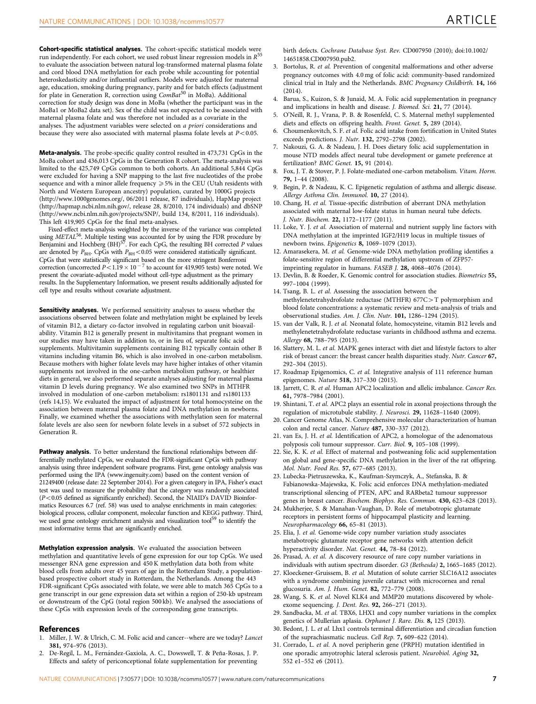<span id="page-6-0"></span>Cohort-specific statistical analyses. The cohort-specific statistical models were run independently. For each cohort, we used robust linear regression models in  $R^{5}$ to evaluate the association between natural log-transformed maternal plasma folate and cord blood DNA methylation for each probe while accounting for potential heteroskedasticity and/or influential outliers. Models were adjusted for maternal age, education, smoking during pregnancy, parity and for batch effects (adjustment for plate in Generation R, correction using ComBat<sup>[50](#page-7-0)</sup> in MoBa). Additional correction for study design was done in MoBa (whether the participant was in the MoBa1 or MoBa2 data set). Sex of the child was not expected to be associated with maternal plasma folate and was therefore not included as a covariate in the analyses. The adjustment variables were selected on a priori considerations and because they were also associated with maternal plasma folate levels at  $P<0.05$ .

Meta-analysis. The probe-specific quality control resulted in 473,731 CpGs in the MoBa cohort and 436,013 CpGs in the Generation R cohort. The meta-analysis was limited to the 425,749 CpGs common to both cohorts. An additional 5,844 CpGs were excluded for having a SNP mapping to the last five nucleotides of the probe sequence and with a minor allele frequency  $\geqslant$  5% in the CEU (Utah residents with North and Western European ancestry) population, curated by 1000G projects [\(http://www.1000genomes.org/](http://www.1000genomes.org/), 06/2011 release, 87 individuals), HapMap project [\(http://hapmap.ncbi.nlm.nih.gov/,](http://hapmap.ncbi.nlm.nih.gov/) release 28, 8/2010, 174 individuals) and dbSNP [\(http://www.ncbi.nlm.nih.gov/projects/SNP/](http://www.ncbi.nlm.nih.gov/projects/SNP/), build 134, 8/2011, 116 individuals). This left 419,905 CpGs for the final meta-analyses.

Fixed-effect meta-analysis weighted by the inverse of the variance was completed using METAL<sup>[56](#page-7-0)</sup>. Multiple testing was accounted for by using the FDR procedure by Benjamini and Hochberg (BH)<sup>[57](#page-7-0)</sup>. For each CpG, the resulting BH corrected P values are denoted by  $P_{\text{BH}}$ . CpGs with  $P_{\text{BH}}$ <0.05 were considered statistically significant. CpGs that were statistically significant based on the more stringent Bonferroni<br>correction (uncorrected  $P<1.19\times 10^{-7}$  to account for 419,905 tests) were noted. We present the covariate-adjusted model without cell-type adjustment as the primary results. In the Supplementary Information, we present results additionally adjusted for cell type and results without covariate adjustment.

Sensitivity analyses. We performed sensitivity analyses to assess whether the associations observed between folate and methylation might be explained by levels of vitamin B12, a dietary co-factor involved in regulating carbon unit bioavailability. Vitamin B12 is generally present in multivitamins that pregnant women in our studies may have taken in addition to, or in lieu of, separate folic acid supplements. Multivitamin supplements containing B12 typically contain other B vitamins including vitamin B6, which is also involved in one-carbon metabolism. Because mothers with higher folate levels may have higher intakes of other vitamin supplements not involved in the one-carbon metabolism pathway, or healthier diets in general, we also performed separate analyses adjusting for maternal plasma vitamin D levels during pregnancy. We also examined two SNPs in MTHFR involved in modulation of one-carbon metabolism: rs1801131 and rs1801133 (refs 14,15). We evaluated the impact of adjustment for total homocysteine on the association between maternal plasma folate and DNA methylation in newborns. Finally, we examined whether the associations with methylation seen for maternal folate levels are also seen for newborn folate levels in a subset of 572 subjects in Generation R.

Pathway analysis. To better understand the functional relationships between differentially methylated CpGs, we evaluated the FDR-significant CpGs with pathway analysis using three independent software programs. First, gene ontology analysis was performed using the IPA ([www.ingenuity.com\)](www.ingenuity.com) based on the content version of 21249400 (release date: 22 September 2014). For a given category in IPA, Fisher's exact test was used to measure the probability that the category was randomly associated  $(P<0.05$  defined as significantly enriched). Second, the NIAID's DAVID Bioinformatics Resources 6.7 ([ref. 58](#page-7-0)) was used to analyse enrichments in main categories: biological process, cellular component, molecular function and KEGG pathway. Third, we used gene ontology enrichment analysis and visualization tool<sup>59</sup> to identify the most informative terms that are significantly enriched.

Methylation expression analysis. We evaluated the association between methylation and quantitative levels of gene expression for our top CpGs. We used messenger RNA gene expression and 450 K methylation data both from white blood cells from adults over 45 years of age in the Rotterdam Study, a populationbased prospective cohort study in Rotterdam, the Netherlands. Among the 443 FDR-significant CpGs associated with folate, we were able to match 365 CpGs to a gene transcript in our gene expression data set within a region of 250-kb upstream or downstream of the CpG (total region 500 kb). We analysed the associations of these CpGs with expression levels of the corresponding gene transcripts.

#### References

- Miller, J. W. & Ulrich, C. M. Folic acid and cancer--where are we today? Lancet 381, 974–976 (2013).
- 2. De-Regil, L. M., Fernández-Gaxiola, A. C., Dowswell, T. & Peña-Rosas, J. P. Effects and safety of periconceptional folate supplementation for preventing

birth defects. Cochrane Database Syst. Rev. CD007950 (2010); doi:10.1002/ 14651858.CD007950.pub2.

- 3. Bortolus, R. et al. Prevention of congenital malformations and other adverse pregnancy outcomes with 4.0 mg of folic acid: community-based randomized clinical trial in Italy and the Netherlands. BMC Pregnancy Childbirth. 14, 166 (2014).
- 4. Barua, S., Kuizon, S. & Junaid, M. A. Folic acid supplementation in pregnancy and implications in health and disease. J. Biomed. Sci. 21, 77 (2014).
- 5. O'Neill, R. J., Vrana, P. B. & Rosenfeld, C. S. Maternal methyl supplemented diets and effects on offspring health. Front. Genet. 5, 289 (2014).
- 6. Choumenkovitch, S. F. et al. Folic acid intake from fortification in United States exceeds predictions. J. Nutr. 132, 2792-2798 (2002).
- 7. Nakouzi, G. A. & Nadeau, J. H. Does dietary folic acid supplementation in mouse NTD models affect neural tube development or gamete preference at fertilization? BMC Genet. 15, 91 (2014).
- 8. Fox, J. T. & Stover, P. J. Folate-mediated one-carbon metabolism. Vitam. Horm. 79, 1–44 (2008).
- 9. Begin, P. & Nadeau, K. C. Epigenetic regulation of asthma and allergic disease. Allergy Asthma Clin. Immunol. 10, 27 (2014).
- 10. Chang, H. et al. Tissue-specific distribution of aberrant DNA methylation associated with maternal low-folate status in human neural tube defects. J. Nutr. Biochem. 22, 1172–1177 (2011).
- 11. Loke, Y. J. et al. Association of maternal and nutrient supply line factors with DNA methylation at the imprinted IGF2/H19 locus in multiple tissues of newborn twins. Epigenetics 8, 1069–1079 (2013).
- 12. Amarasekera, M. et al. Genome-wide DNA methylation profiling identifies a folate-sensitive region of differential methylation upstream of ZFP57 imprinting regulator in humans. FASEB J. 28, 4068–4076 (2014).
- 13. Devlin, B. & Roeder, K. Genomic control for association studies. Biometrics 55, 997–1004 (1999).
- 14. Tsang, B. L. et al. Assessing the association between the methylenetetrahydrofolate reductase (MTHFR) 677C > T polymorphism and blood folate concentrations: a systematic review and meta-analysis of trials and observational studies. Am. J. Clin. Nutr. 101, 1286–1294 (2015).
- 15. van der Valk, R. J. et al. Neonatal folate, homocysteine, vitamin B12 levels and methylenetetrahydrofolate reductase variants in childhood asthma and eczema. Allergy 68, 788–795 (2013).
- 16. Slattery, M. L. et al. MAPK genes interact with diet and lifestyle factors to alter risk of breast cancer: the breast cancer health disparities study. Nutr. Cancer 67, 292–304 (2015).
- 17. Roadmap Epigenomics, C. et al. Integrative analysis of 111 reference human epigenomes. Nature 518, 317–330 (2015).
- 18. Jarrett, C. R. et al. Human APC2 localization and allelic imbalance. Cancer Res. 61, 7978–7984 (2001).
- 19. Shintani, T. et al. APC2 plays an essential role in axonal projections through the regulation of microtubule stability. J. Neurosci. 29, 11628-11640 (2009)
- 20. Cancer Genome Atlas, N. Comprehensive molecular characterization of human colon and rectal cancer. Nature 487, 330–337 (2012).
- 21. van Es, J. H. et al. Identification of APC2, a homologue of the adenomatous polyposis coli tumour suppressor. Curr. Biol. 9, 105–108 (1999).
- 22. Sie, K. K. et al. Effect of maternal and postweaning folic acid supplementation on global and gene-specific DNA methylation in the liver of the rat offspring. Mol. Nutr. Food Res. 57, 677–685 (2013).
- 23. Lubecka-Pietruszewska, K., Kaufman-Szymczyk, A., Stefanska, B. & Fabianowska-Majewska, K. Folic acid enforces DNA methylation-mediated transcriptional silencing of PTEN, APC and RARbeta2 tumour suppressor genes in breast cancer. Biochem. Biophys. Res. Commun. 430, 623–628 (2013).
- 24. Mukherjee, S. & Manahan-Vaughan, D. Role of metabotropic glutamate receptors in persistent forms of hippocampal plasticity and learning. Neuropharmacology 66, 65–81 (2013).
- 25. Elia, J. et al. Genome-wide copy number variation study associates metabotropic glutamate receptor gene networks with attention deficit hyperactivity disorder. Nat. Genet. 44, 78-84 (2012).
- 26. Prasad, A. et al. A discovery resource of rare copy number variations in individuals with autism spectrum disorder. G3 (Bethesda) 2, 1665–1685 (2012).
- 27. Kloeckener-Gruissem, B. et al. Mutation of solute carrier SLC16A12 associates with a syndrome combining juvenile cataract with microcornea and renal glucosuria. Am. J. Hum. Genet. 82, 772–779 (2008).
- 28. Wang, S. K. et al. Novel KLK4 and MMP20 mutations discovered by wholeexome sequencing. J. Dent. Res. 92, 266–271 (2013).
- 29. Sandbacka, M. et al. TBX6, LHX1 and copy number variations in the complex genetics of Mullerian aplasia. Orphanet J. Rare. Dis. 8, 125 (2013).
- 30. Bedont, J. L. et al. Lhx1 controls terminal differentiation and circadian function of the suprachiasmatic nucleus. Cell Rep. 7, 609–622 (2014).
- 31. Corrado, L. et al. A novel peripherin gene (PRPH) mutation identified in one sporadic amyotrophic lateral sclerosis patient. Neurobiol. Aging 32, 552 e1–552 e6 (2011).